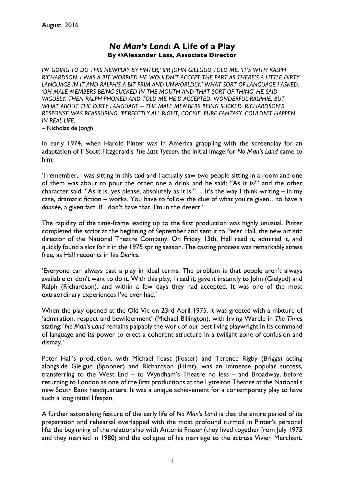## *No Man's Land***: A Life of a Play By ©Alexander Lass, Associate Director**

*I'M GOING TO DO THIS NEWPLAY BY PINTER,' SIR JOHN GIELGUD TOLD ME. 'IT'S WITH RALPH RICHARDSON. I WAS A BIT WORRIED HE WOULDN'T ACCEPT THE PART AS THERE'S A LITTLE DIRTY LANGUAGE IN IT AND RALPH'S A BIT PRIM AND UNWORLDLY.' WHAT SORT OF LANGUAGE I ASKED. 'OH MALE MEMBERS BEING SUCKED IN THE MOUTH AND THAT SORT OF THING' HE SAID VAGUELY. THEN RALPH PHONED AND TOLD ME HE'D ACCEPTED. WONDERFUL RALPHIE, BUT WHAT ABOUT THE DIRTY LANGUAGE – THE MALE MEMBERS BEING SUCKED. RICHARDSON'S RESPONSE WAS REASSURING. 'PERFECTLY ALL RIGHT, COCKIE. PURE FANTASY. COULDN'T HAPPEN IN REAL LIFE.*

– Nicholas de Jongh

In early 1974, when Harold Pinter was in America grappling with the screenplay for an adaptation of F Scott Fitzgerald's *The Last Tycoon*, the initial image for *No Man's Land* came to him:

'I remember, I was sitting in this taxi and I actually saw two people sitting in a room and one of them was about to pour the other one a drink and he said: "As it is?" and the other character said: "As it is, yes please, absolutely as it is."… It's the way I think writing – in my case, dramatic fiction – works. You have to follow the clue of what you're given…to have a *donnée*, a given fact. If I don't have that, I'm in the desert.'

The rapidity of the time-frame leading up to the first production was highly unusual. Pinter completed the script at the beginning of September and sent it to Peter Hall, the new artistic director of the National Theatre Company. On Friday 13th, Hall read it, admired it, and quickly found a slot for it in the 1975 spring season. The casting process was remarkably stress free, as Hall recounts in his *Diaries*:

'Everyone can always cast a play in ideal terms. The problem is that people aren't always available or don't want to do it. With this play, I read it, gave it instantly to John (Gielgud) and Ralph (Richardson), and within a few days they had accepted. It was one of the most extraordinary experiences I've ever had.'

When the play opened at the Old Vic on 23rd April 1975, it was greeted with a mixture of 'admiration, respect and bewilderment' (Michael Billington), with Irving Wardle in *The Times* stating: '*No Man's Land* remains palpably the work of our best living playwright in its command of language and its power to erect a coherent structure in a twilight zone of confusion and dismay.'

Peter Hall's production, with Michael Feast (Foster) and Terence Rigby (Briggs) acting alongside Gielgud (Spooner) and Richardson (Hirst), was an immense popular success, transferring to the West End – to Wyndham's Theatre no less – and Broadway, before returning to London as one of the first productions at the Lyttelton Theatre at the National's new South Bank headquarters. It was a unique achievement for a contemporary play to have such a long initial lifespan.

A further astonishing feature of the early life of *No Man's Land* is that the entire period of its preparation and rehearsal overlapped with the most profound turmoil in Pinter's personal life: the beginning of the relationship with Antonia Fraser (they lived together from July 1975 and they married in 1980) and the collapse of his marriage to the actress Vivien Merchant.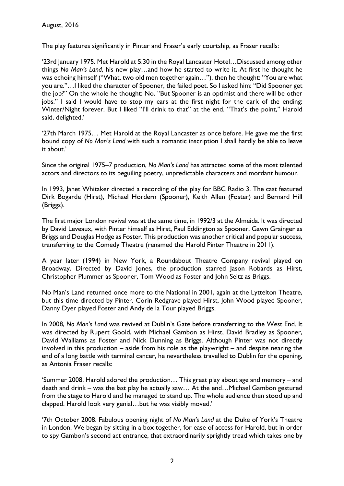The play features significantly in Pinter and Fraser's early courtship, as Fraser recalls:

'23rd January 1975. Met Harold at 5:30 in the Royal Lancaster Hotel…Discussed among other things *No Man's Land*, his new play…and how he started to write it. At first he thought he was echoing himself ("What, two old men together again…"), then he thought: "You are what you are."…I liked the character of Spooner, the failed poet. So I asked him: "Did Spooner get the job?" On the whole he thought: No. "But Spooner is an optimist and there will be other jobs." I said I would have to stop my ears at the first night for the dark of the ending: Winter/Night forever. But I liked "I'll drink to that" at the end. "That's the point," Harold said, delighted.'

'27th March 1975… Met Harold at the Royal Lancaster as once before. He gave me the first bound copy of *No Man's Land* with such a romantic inscription I shall hardly be able to leave it about.'

Since the original 1975–7 production, *No Man's Land* has attracted some of the most talented actors and directors to its beguiling poetry, unpredictable characters and mordant humour.

In 1993, Janet Whitaker directed a recording of the play for BBC Radio 3. The cast featured Dirk Bogarde (Hirst), Michael Hordern (Spooner), Keith Allen (Foster) and Bernard Hill (Briggs).

The first major London revival was at the same time, in 1992/3 at the Almeida. It was directed by David Leveaux, with Pinter himself as Hirst, Paul Eddington as Spooner, Gawn Grainger as Briggs and Douglas Hodge as Foster. This production was another critical and popular success, transferring to the Comedy Theatre (renamed the Harold Pinter Theatre in 2011).

A year later (1994) in New York, a Roundabout Theatre Company revival played on Broadway. Directed by David Jones, the production starred Jason Robards as Hirst, Christopher Plummer as Spooner, Tom Wood as Foster and John Seitz as Briggs.

No Man's Land returned once more to the National in 2001, again at the Lyttelton Theatre, but this time directed by Pinter. Corin Redgrave played Hirst, John Wood played Spooner, Danny Dyer played Foster and Andy de la Tour played Briggs.

In 2008, *No Man's Land* was revived at Dublin's Gate before transferring to the West End. It was directed by Rupert Goold, with Michael Gambon as Hirst, David Bradley as Spooner, David Walliams as Foster and Nick Dunning as Briggs. Although Pinter was not directly involved in this production – aside from his role as the playwright – and despite nearing the end of a long battle with terminal cancer, he nevertheless travelled to Dublin for the opening, as Antonia Fraser recalls:

'Summer 2008. Harold adored the production… This great play about age and memory – and death and drink – was the last play he actually saw… At the end…Michael Gambon gestured from the stage to Harold and he managed to stand up. The whole audience then stood up and clapped. Harold look very genial…but he was visibly moved.'

'7th October 2008. Fabulous opening night of *No Man's Land* at the Duke of York's Theatre in London. We began by sitting in a box together, for ease of access for Harold, but in order to spy Gambon's second act entrance, that extraordinarily sprightly tread which takes one by